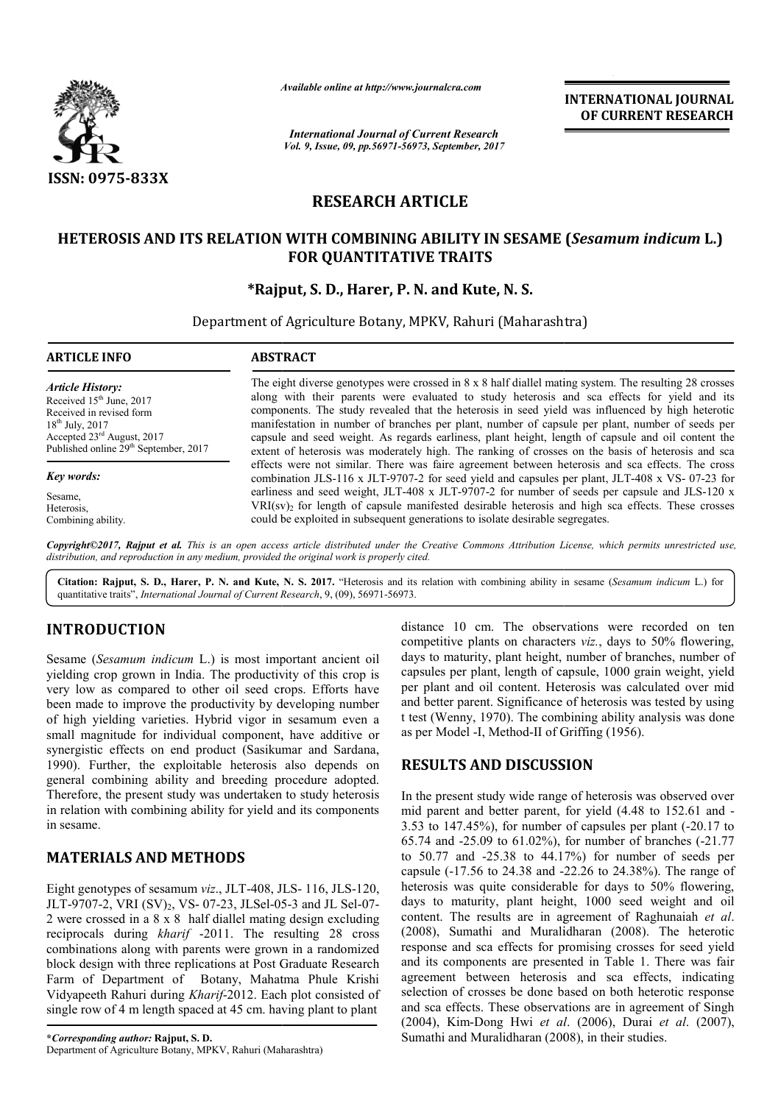

*Available online at http://www.journal http://www.journalcra.com*

*International Journal of Current Research Vol. 9, Issue, 09, pp.56971-56973, September, 2017* **INTERNATIONAL JOURNAL OF CURRENT RESEARCH** 

# **RESEARCH ARTICLE**

### **HETEROSIS AND ITS RELATION WITH COMBINING ABILITY IN SESAME ( WITH COMBINING** *Sesamum indicum* **L.) FOR QUANTITATIVE TRAITS**

## **\*Rajput, Rajput, S. D., Harer, P. N. and Kute, N. S.**

Department of Agriculture Botany, MPKV, Rahuri (Maharashtra)

| <b>ARTICLE INFO</b>                               | <b>ABSTRACT</b>                                                                                                                                                                                    |  |  |
|---------------------------------------------------|----------------------------------------------------------------------------------------------------------------------------------------------------------------------------------------------------|--|--|
| <b>Article History:</b>                           | The eight diverse genotypes were crossed in $8 \times 8$ half diallel mating system. The resulting 28 crosses                                                                                      |  |  |
| Received 15 <sup>th</sup> June, 2017              | along with their parents were evaluated to study heterosis and sca effects for yield and its                                                                                                       |  |  |
| Received in revised form                          | components. The study revealed that the heterosis in seed yield was influenced by high heterotic                                                                                                   |  |  |
| $18^{th}$ July, 2017                              | manifestation in number of branches per plant, number of capsule per plant, number of seeds per                                                                                                    |  |  |
| Accepted $23^{\text{rd}}$ August, 2017            | capsule and seed weight. As regards earliness, plant height, length of capsule and oil content the                                                                                                 |  |  |
| Published online 29 <sup>th</sup> September, 2017 | extent of heterosis was moderately high. The ranking of crosses on the basis of heterosis and sca                                                                                                  |  |  |
| Key words:                                        | effects were not similar. There was faire agreement between heterosis and sca effects. The cross<br>combination JLS-116 x JLT-9707-2 for seed yield and capsules per plant, JLT-408 x VS-07-23 for |  |  |
| Sesame,                                           | earliness and seed weight, JLT-408 x JLT-9707-2 for number of seeds per capsule and JLS-120 x                                                                                                      |  |  |
| Heterosis.                                        | $VRI(sv)$ <sub>2</sub> for length of capsule manifested desirable heterosis and high sca effects. These crosses                                                                                    |  |  |
| Combining ability.                                | could be exploited in subsequent generations to isolate desirable segregates.                                                                                                                      |  |  |

*Copyright©2017, Rajput et al. This is an open access article distributed under the Creative Commons Att Attribution License, which ribution permits unrestricted use, distribution, and reproduction in any medium, provided the original work is properly cited.*

Citation: Rajput, S. D., Harer, P. N. and Kute, N. S. 2017. "Heterosis and its relation with combining ability in sesame (Sesamum indicum L.) for quantitative traits", *International Journal of Current Research* , 9, (09), 56971-56973.

# **INTRODUCTION**

Sesame (*Sesamum indicum* L.) is most important ancient oil yielding crop grown in India. The productivity of this crop is very low as compared to other oil seed crops. Efforts have been made to improve the productivity by developing number of high yielding varieties. Hybrid vigor in sesamum even a small magnitude for individual component, have additive or synergistic effects on end product (Sasikumar and Sardana, 1990). Further, the exploitable heterosis also depends on general combining ability and breeding procedure adopted. Therefore, the present study was undertaken to study heterosis in relation with combining ability for yield and its components in sesame. refore, the present study was undertaken to study heterosis<br>elation with combining ability for yield and its components<br>esame.<br>**TERIALS AND METHODS**<br>ht genotypes of sesamum *viz.*, JLT-408, JLS-116, JLS-120,

## **MATERIALS AND METHODS**

Eight genotypes of sesamum *viz*., JLT-408, JLS JLT-9707-2, VRI (SV)<sub>2</sub>, VS- 07-23, JLSel-05-3 and JL Sel-07-2 were crossed in a 8 x 8 half diallel mating design excluding reciprocals during *kharif* -2011. The resulting 28 cross combinations along with parents were grown in a randomized block design with three replications at Post Graduate Research Farm of Department of Botany, Mahatma Phule Krishi Vidyapeeth Rahuri during *Kharif*-2012. Each plot consisted of single row of 4 m length spaced at 45 cm. having plant to plant

competitive plants on characters *viz.*, days to 50% flowering, days to maturity, plant height, number of branches, number of capsules per plant, length of capsule, 1000 grain weight, yield per plant and oil content. Heterosis was calculated over mid and better parent. Significance of heterosis was tested by using t test (Wenny, 1970). The combining ability analysis was done as per Model -I, Method-II of Grif is to maturity, plant height, number of branches, number of sules per plant, length of capsule, 1000 grain weight, yield plant and oil content. Heterosis was calculated over mid better parent. Significance of heterosis was

#### **RESULTS AND DISCUSSION**

**CTION**<br>
distance 10 cm. The observations were recorded on ten<br>
drawn in matical days to matter is  $y_{\text{ex}}^2$  consumer in the model on the<br>
drawn in India. The productivity of this crop is equations per plant and in cont In the present study wide range of heterosis was observed over In the present study wide range of heterosis was observed over mid parent and better parent, for yield  $(4.48 \text{ to } 152.61 \text{ and } -1)$  $3.53$  to  $147.45\%$ ), for number of capsules per plant  $(-20.17)$  to 65.74 and -25.09 to 61.02%), for number of branches ( 25.09 (-21.77 to 50.77 and -25.38 to 44.17%) for number of seeds per capsule (-17.56 to 24.38 and -22.26 to 24.38%). The range of heterosis was quite considerable for days to 50% flowering, days to maturity, plant height, 1000 seed weight and oil content. The results are in agreement of Raghunaiah et al. (2008), Sumathi and Muralidharan (2008). The heterotic response and sca effects for promising crosses for seed yield and its components are presented in Table 1. There was fair response and sca effects for promising crosses for seed yield<br>and its components are presented in Table 1. There was fair<br>agreement between heterosis and sca effects, indicating selection of crosses be done based on both heterotic response and sca effects. These observations are in agreement of Singh (2004), Kim-Dong Hwi *et al et* . (2006), Durai *et al*. (2007), Sumathi and Muralidharan (2008), in their studies. 25.38 to 44.17%) for number of seeds per le (-17.56 to 24.38 and -22.26 to 24.38%). The range of sis was quite considerable for days to 50% flowering, to maturity, plant height, 1000 seed weight and oil at. The results are **INTERNATIONAL JOURNAL (OF CURRENT RESEARCH (CONTRATIONAL ID (FOR CURRENT RESEARCH (ID) and search and search and search and search and search and search and a search and a search and a search and a search and a search an**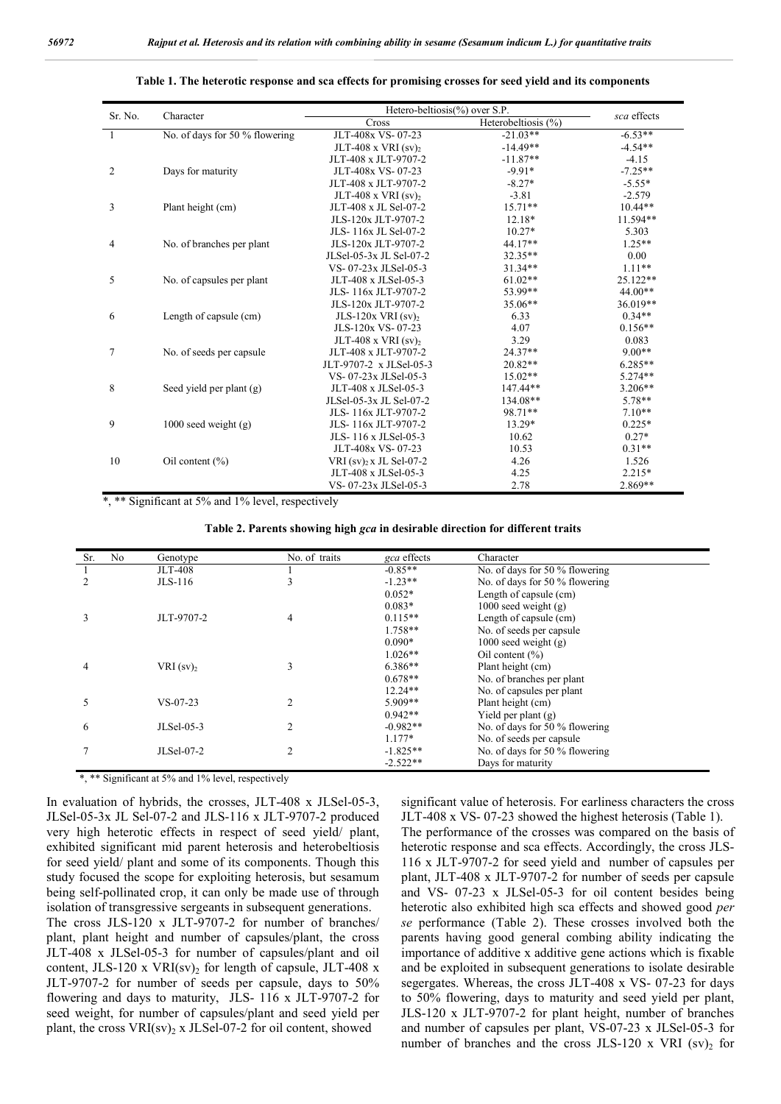|                |                                | Hetero-beltiosis(%) over S.P.       |                     |             |
|----------------|--------------------------------|-------------------------------------|---------------------|-------------|
| Sr. No.        | Character                      | Cross                               | Heterobeltiosis (%) | sca effects |
| 1              | No. of days for 50 % flowering | JLT-408x VS-07-23                   | $-21.03**$          | $-6.53**$   |
|                |                                | JLT-408 x VRI $(sv)$ ,              | $-14.49**$          | $-4.54**$   |
|                |                                | JLT-408 x JLT-9707-2                | $-11.87**$          | $-4.15$     |
| $\overline{2}$ | Days for maturity              | JLT-408x VS-07-23                   | $-9.91*$            | $-7.25**$   |
|                |                                | JLT-408 x JLT-9707-2                | $-8.27*$            | $-5.55*$    |
|                |                                | JLT-408 x VRI $(sv)$ ,              | $-3.81$             | $-2.579$    |
| 3              | Plant height (cm)              | JLT-408 x JL Sel-07-2               | $15.71**$           | $10.44**$   |
|                |                                | JLS-120x JLT-9707-2                 | $12.18*$            | 11.594**    |
|                |                                | JLS-116x JL Sel-07-2                | $10.27*$            | 5.303       |
| $\overline{4}$ | No. of branches per plant      | JLS-120x JLT-9707-2                 | 44.17**             | $1.25**$    |
|                |                                | JLSel-05-3x JL Sel-07-2             | 32.35**             | 0.00        |
|                |                                | VS-07-23x JLSel-05-3                | $31.34**$           | $1.11**$    |
| 5              | No. of capsules per plant      | JLT-408 x JLSel-05-3                | $61.02**$           | 25.122**    |
|                |                                | JLS-116x JLT-9707-2                 | 53.99**             | $44.00**$   |
|                |                                | JLS-120x JLT-9707-2                 | 35.06**             | 36.019**    |
| 6              | Length of capsule (cm)         | JLS-120 $x$ VRI $(sv)$ <sub>2</sub> | 6.33                | $0.34**$    |
|                |                                | JLS-120x VS-07-23                   | 4.07                | $0.156**$   |
|                |                                | JLT-408 x VRI $(sv)$ <sub>2</sub>   | 3.29                | 0.083       |
| 7              | No. of seeds per capsule       | JLT-408 x JLT-9707-2                | $24.37**$           | $9.00**$    |
|                |                                | JLT-9707-2 x JLSel-05-3             | $20.82**$           | $6.285**$   |
|                |                                | VS-07-23x JLSel-05-3                | $15.02**$           | $5.274**$   |
| 8              | Seed yield per plant (g)       | JLT-408 x JLSel-05-3                | 147.44**            | $3.206**$   |
|                |                                | JLSel-05-3x JL Sel-07-2             | 134.08**            | $5.78**$    |
|                |                                | JLS-116x JLT-9707-2                 | 98.71**             | $7.10**$    |
| 9              | $1000$ seed weight $(g)$       | JLS-116x JLT-9707-2                 | 13.29*              | $0.225*$    |
|                |                                | JLS-116 x JLSel-05-3                | 10.62               | $0.27*$     |
|                |                                | JLT-408x VS-07-23                   | 10.53               | $0.31**$    |
| 10             | Oil content $(\% )$            | VRI (sv) <sub>2</sub> x JL Sel-07-2 | 4.26                | 1.526       |
|                |                                | JLT-408 x JLSel-05-3                | 4.25                | $2.215*$    |
|                |                                | VS-07-23x JLSel-05-3                | 2.78                | $2.869**$   |

**Table 1. The heterotic response and sca effects for promising crosses for seed yield and its components**

\*, \*\* Significant at 5% and 1% level, respectively

**Table 2. Parents showing high** *gca* **in desirable direction for different traits**

| Sr. | No | Genotype                | No. of traits  | <i>gca</i> effects | Character                      |
|-----|----|-------------------------|----------------|--------------------|--------------------------------|
|     |    | <b>JLT-408</b>          |                | $-0.85**$          | No. of days for 50 % flowering |
|     |    | $JLS-116$               | J.             | $-1.23**$          | No. of days for 50 % flowering |
|     |    |                         |                | $0.052*$           | Length of capsule (cm)         |
|     |    |                         |                | $0.083*$           | $1000$ seed weight $(g)$       |
|     |    | JLT-9707-2              | 4              | $0.115**$          | Length of capsule (cm)         |
|     |    |                         |                | $1.758**$          | No. of seeds per capsule       |
|     |    |                         |                | $0.090*$           | 1000 seed weight $(g)$         |
|     |    |                         |                | $1.026**$          | Oil content $(\% )$            |
| 4   |    | $VRI$ (sv) <sub>2</sub> | 3              | $6.386**$          | Plant height (cm)              |
|     |    |                         |                | $0.678**$          | No. of branches per plant      |
|     |    |                         |                | $12.24**$          | No. of capsules per plant      |
| 5   |    | $VS - 07 - 23$          | $\overline{2}$ | $5.909**$          | Plant height (cm)              |
|     |    |                         |                | $0.942**$          | Yield per plant $(g)$          |
| 6   |    | $JLSel-05-3$            | $\overline{c}$ | $-0.982**$         | No. of days for 50 % flowering |
|     |    |                         |                | $1.177*$           | No. of seeds per capsule       |
|     |    | JLSel-07-2              | $\overline{c}$ | $-1.825**$         | No. of days for 50 % flowering |
|     |    |                         |                | $-2.522**$         | Days for maturity              |

\*, \*\* Significant at 5% and 1% level, respectively

In evaluation of hybrids, the crosses, JLT-408 x JLSel-05-3, JLSel-05-3x JL Sel-07-2 and JLS-116 x JLT-9707-2 produced very high heterotic effects in respect of seed yield/ plant, exhibited significant mid parent heterosis and heterobeltiosis for seed yield/ plant and some of its components. Though this study focused the scope for exploiting heterosis, but sesamum being self-pollinated crop, it can only be made use of through isolation of transgressive sergeants in subsequent generations.

The cross JLS-120 x JLT-9707-2 for number of branches/ plant, plant height and number of capsules/plant, the cross JLT-408 x JLSel-05-3 for number of capsules/plant and oil content, JLS-120 x VRI(sv)<sub>2</sub> for length of capsule, JLT-408 x JLT-9707-2 for number of seeds per capsule, days to 50% flowering and days to maturity, JLS- 116 x JLT-9707-2 for seed weight, for number of capsules/plant and seed yield per plant, the cross  $VRI(sv)$ <sub>2</sub> x JLSel-07-2 for oil content, showed

significant value of heterosis. For earliness characters the cross JLT-408 x VS- 07-23 showed the highest heterosis (Table 1). The performance of the crosses was compared on the basis of heterotic response and sca effects. Accordingly, the cross JLS-116 x JLT-9707-2 for seed yield and number of capsules per plant, JLT-408 x JLT-9707-2 for number of seeds per capsule and VS- 07-23 x JLSel-05-3 for oil content besides being heterotic also exhibited high sca effects and showed good *per se* performance (Table 2). These crosses involved both the parents having good general combing ability indicating the importance of additive x additive gene actions which is fixable and be exploited in subsequent generations to isolate desirable segergates. Whereas, the cross JLT-408 x VS- 07-23 for days to 50% flowering, days to maturity and seed yield per plant, JLS-120 x JLT-9707-2 for plant height, number of branches and number of capsules per plant, VS-07-23 x JLSel-05-3 for number of branches and the cross JLS-120 x VRI  $(sv)$ <sub>2</sub> for